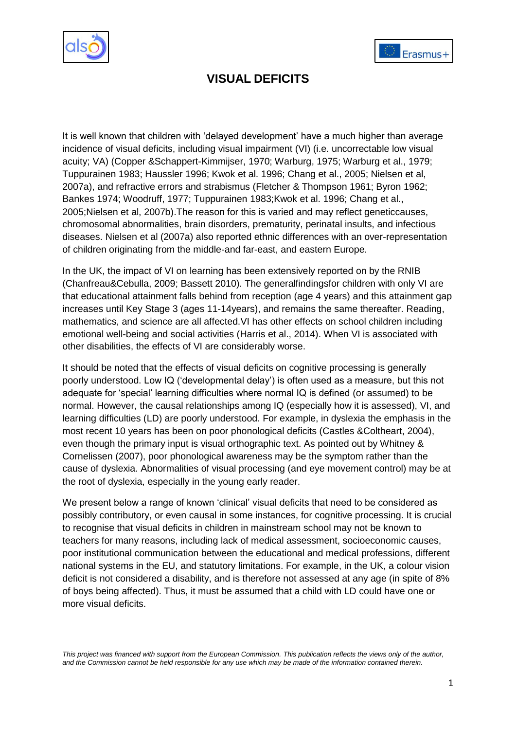



# **VISUAL DEFICITS**

It is well known that children with "delayed development" have a much higher than average incidence of visual deficits, including visual impairment (VI) (i.e. uncorrectable low visual acuity; VA) (Copper &Schappert-Kimmijser, 1970; Warburg, 1975; Warburg et al., 1979; Tuppurainen 1983; Haussler 1996; Kwok et al. 1996; Chang et al., 2005; Nielsen et al, 2007a), and refractive errors and strabismus (Fletcher & Thompson 1961; Byron 1962; Bankes 1974; Woodruff, 1977; Tuppurainen 1983;Kwok et al. 1996; Chang et al., 2005;Nielsen et al, 2007b).The reason for this is varied and may reflect geneticcauses, chromosomal abnormalities, brain disorders, prematurity, perinatal insults, and infectious diseases. Nielsen et al (2007a) also reported ethnic differences with an over-representation of children originating from the middle-and far-east, and eastern Europe.

In the UK, the impact of VI on learning has been extensively reported on by the RNIB (Chanfreau&Cebulla, 2009; Bassett 2010). The generalfindingsfor children with only VI are that educational attainment falls behind from reception (age 4 years) and this attainment gap increases until Key Stage 3 (ages 11-14years), and remains the same thereafter. Reading, mathematics, and science are all affected.VI has other effects on school children including emotional well-being and social activities (Harris et al., 2014). When VI is associated with other disabilities, the effects of VI are considerably worse.

It should be noted that the effects of visual deficits on cognitive processing is generally poorly understood. Low IQ ("developmental delay") is often used as a measure, but this not adequate for "special" learning difficulties where normal IQ is defined (or assumed) to be normal. However, the causal relationships among IQ (especially how it is assessed), VI, and learning difficulties (LD) are poorly understood. For example, in dyslexia the emphasis in the most recent 10 years has been on poor phonological deficits (Castles &Coltheart, 2004), even though the primary input is visual orthographic text. As pointed out by Whitney & Cornelissen (2007), poor phonological awareness may be the symptom rather than the cause of dyslexia. Abnormalities of visual processing (and eye movement control) may be at the root of dyslexia, especially in the young early reader.

We present below a range of known 'clinical' visual deficits that need to be considered as possibly contributory, or even causal in some instances, for cognitive processing. It is crucial to recognise that visual deficits in children in mainstream school may not be known to teachers for many reasons, including lack of medical assessment, socioeconomic causes, poor institutional communication between the educational and medical professions, different national systems in the EU, and statutory limitations. For example, in the UK, a colour vision deficit is not considered a disability, and is therefore not assessed at any age (in spite of 8% of boys being affected). Thus, it must be assumed that a child with LD could have one or more visual deficits.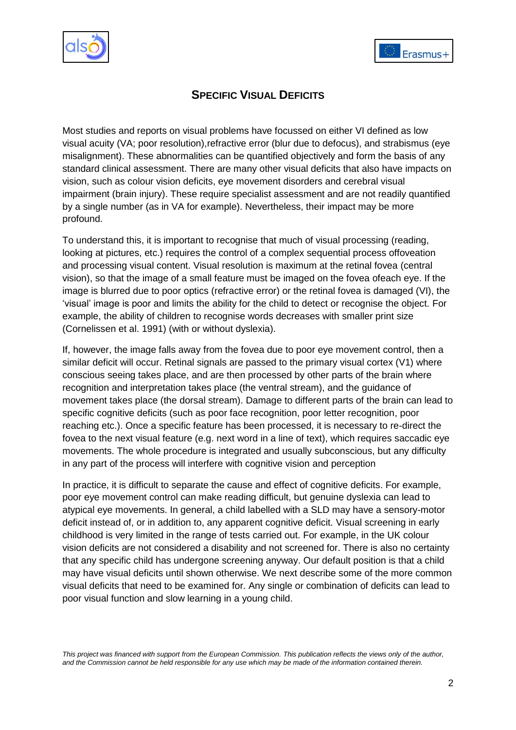



## **SPECIFIC VISUAL DEFICITS**

Most studies and reports on visual problems have focussed on either VI defined as low visual acuity (VA; poor resolution),refractive error (blur due to defocus), and strabismus (eye misalignment). These abnormalities can be quantified objectively and form the basis of any standard clinical assessment. There are many other visual deficits that also have impacts on vision, such as colour vision deficits, eye movement disorders and cerebral visual impairment (brain injury). These require specialist assessment and are not readily quantified by a single number (as in VA for example). Nevertheless, their impact may be more profound.

To understand this, it is important to recognise that much of visual processing (reading, looking at pictures, etc.) requires the control of a complex sequential process offoveation and processing visual content. Visual resolution is maximum at the retinal fovea (central vision), so that the image of a small feature must be imaged on the fovea ofeach eye. If the image is blurred due to poor optics (refractive error) or the retinal fovea is damaged (VI), the "visual" image is poor and limits the ability for the child to detect or recognise the object. For example, the ability of children to recognise words decreases with smaller print size (Cornelissen et al. 1991) (with or without dyslexia).

If, however, the image falls away from the fovea due to poor eye movement control, then a similar deficit will occur. Retinal signals are passed to the primary visual cortex (V1) where conscious seeing takes place, and are then processed by other parts of the brain where recognition and interpretation takes place (the ventral stream), and the guidance of movement takes place (the dorsal stream). Damage to different parts of the brain can lead to specific cognitive deficits (such as poor face recognition, poor letter recognition, poor reaching etc.). Once a specific feature has been processed, it is necessary to re-direct the fovea to the next visual feature (e.g. next word in a line of text), which requires saccadic eye movements. The whole procedure is integrated and usually subconscious, but any difficulty in any part of the process will interfere with cognitive vision and perception

In practice, it is difficult to separate the cause and effect of cognitive deficits. For example, poor eye movement control can make reading difficult, but genuine dyslexia can lead to atypical eye movements. In general, a child labelled with a SLD may have a sensory-motor deficit instead of, or in addition to, any apparent cognitive deficit. Visual screening in early childhood is very limited in the range of tests carried out. For example, in the UK colour vision deficits are not considered a disability and not screened for. There is also no certainty that any specific child has undergone screening anyway. Our default position is that a child may have visual deficits until shown otherwise. We next describe some of the more common visual deficits that need to be examined for. Any single or combination of deficits can lead to poor visual function and slow learning in a young child.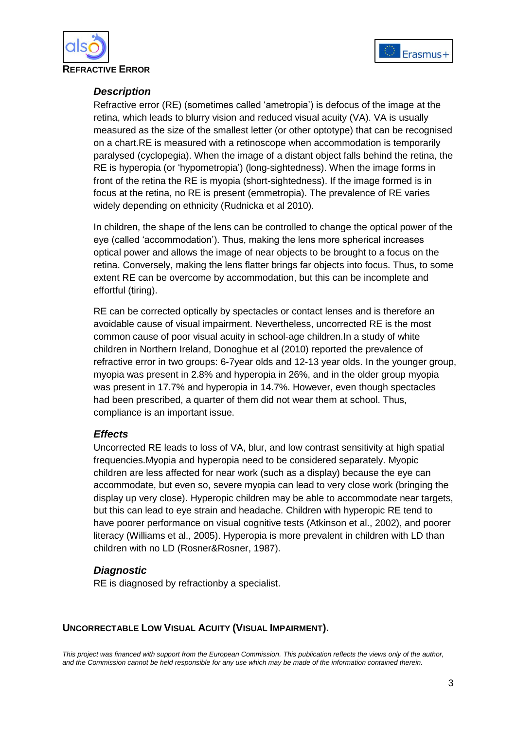



#### *Description*

Refractive error (RE) (sometimes called "ametropia") is defocus of the image at the retina, which leads to blurry vision and reduced visual acuity (VA). VA is usually measured as the size of the smallest letter (or other optotype) that can be recognised on a chart.RE is measured with a retinoscope when accommodation is temporarily paralysed (cyclopegia). When the image of a distant object falls behind the retina, the RE is hyperopia (or "hypometropia") (long-sightedness). When the image forms in front of the retina the RE is myopia (short-sightedness). If the image formed is in focus at the retina, no RE is present (emmetropia). The prevalence of RE varies widely depending on ethnicity (Rudnicka et al 2010).

In children, the shape of the lens can be controlled to change the optical power of the eye (called "accommodation"). Thus, making the lens more spherical increases optical power and allows the image of near objects to be brought to a focus on the retina. Conversely, making the lens flatter brings far objects into focus. Thus, to some extent RE can be overcome by accommodation, but this can be incomplete and effortful (tiring).

RE can be corrected optically by spectacles or contact lenses and is therefore an avoidable cause of visual impairment. Nevertheless, uncorrected RE is the most common cause of poor visual acuity in school-age children.In a study of white children in Northern Ireland, Donoghue et al (2010) reported the prevalence of refractive error in two groups: 6-7year olds and 12-13 year olds. In the younger group, myopia was present in 2.8% and hyperopia in 26%, and in the older group myopia was present in 17.7% and hyperopia in 14.7%. However, even though spectacles had been prescribed, a quarter of them did not wear them at school. Thus, compliance is an important issue.

## *Effects*

Uncorrected RE leads to loss of VA, blur, and low contrast sensitivity at high spatial frequencies.Myopia and hyperopia need to be considered separately. Myopic children are less affected for near work (such as a display) because the eye can accommodate, but even so, severe myopia can lead to very close work (bringing the display up very close). Hyperopic children may be able to accommodate near targets, but this can lead to eye strain and headache. Children with hyperopic RE tend to have poorer performance on visual cognitive tests (Atkinson et al., 2002), and poorer literacy (Williams et al., 2005). Hyperopia is more prevalent in children with LD than children with no LD (Rosner&Rosner, 1987).

## *Diagnostic*

RE is diagnosed by refractionby a specialist.

#### **UNCORRECTABLE LOW VISUAL ACUITY (VISUAL IMPAIRMENT).**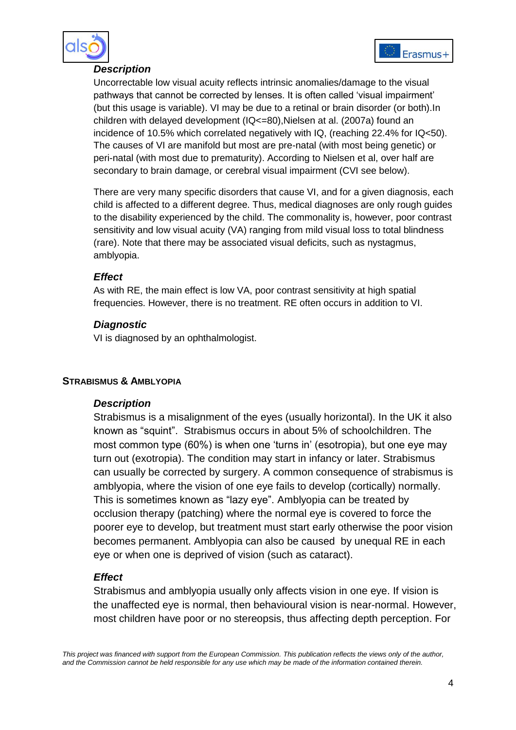



### *Description*

Uncorrectable low visual acuity reflects intrinsic anomalies/damage to the visual pathways that cannot be corrected by lenses. It is often called "visual impairment" (but this usage is variable). VI may be due to a retinal or brain disorder (or both).In children with delayed development (IQ<=80),Nielsen at al. (2007a) found an incidence of 10.5% which correlated negatively with IQ, (reaching 22.4% for IQ<50). The causes of VI are manifold but most are pre-natal (with most being genetic) or peri-natal (with most due to prematurity). According to Nielsen et al, over half are secondary to brain damage, or cerebral visual impairment (CVI see below).

There are very many specific disorders that cause VI, and for a given diagnosis, each child is affected to a different degree. Thus, medical diagnoses are only rough guides to the disability experienced by the child. The commonality is, however, poor contrast sensitivity and low visual acuity (VA) ranging from mild visual loss to total blindness (rare). Note that there may be associated visual deficits, such as nystagmus, amblyopia.

## *Effect*

As with RE, the main effect is low VA, poor contrast sensitivity at high spatial frequencies. However, there is no treatment. RE often occurs in addition to VI.

## *Diagnostic*

VI is diagnosed by an ophthalmologist.

## **STRABISMUS & AMBLYOPIA**

#### *Description*

Strabismus is a misalignment of the eyes (usually horizontal). In the UK it also known as "squint". Strabismus occurs in about 5% of schoolchildren. The most common type (60%) is when one "turns in" (esotropia), but one eye may turn out (exotropia). The condition may start in infancy or later. Strabismus can usually be corrected by surgery. A common consequence of strabismus is amblyopia, where the vision of one eye fails to develop (cortically) normally. This is sometimes known as "lazy eye". Amblyopia can be treated by occlusion therapy (patching) where the normal eye is covered to force the poorer eye to develop, but treatment must start early otherwise the poor vision becomes permanent. Amblyopia can also be caused by unequal RE in each eye or when one is deprived of vision (such as cataract).

## *Effect*

Strabismus and amblyopia usually only affects vision in one eye. If vision is the unaffected eye is normal, then behavioural vision is near-normal. However, most children have poor or no stereopsis, thus affecting depth perception. For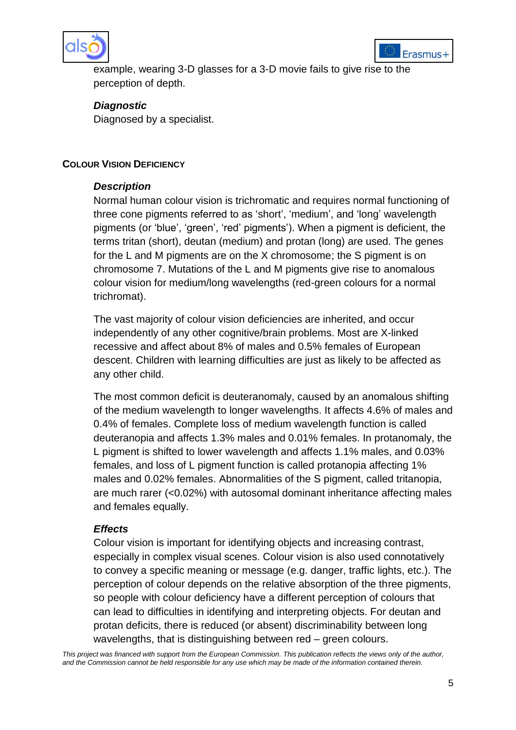



example, wearing 3-D glasses for a 3-D movie fails to give rise to the perception of depth.

*Diagnostic* Diagnosed by a specialist.

## **COLOUR VISION DEFICIENCY**

## *Description*

Normal human colour vision is trichromatic and requires normal functioning of three cone pigments referred to as "short", "medium", and "long" wavelength pigments (or "blue", "green", "red" pigments"). When a pigment is deficient, the terms tritan (short), deutan (medium) and protan (long) are used. The genes for the L and M pigments are on the X chromosome; the S pigment is on chromosome 7. Mutations of the L and M pigments give rise to anomalous colour vision for medium/long wavelengths (red-green colours for a normal trichromat).

The vast majority of colour vision deficiencies are inherited, and occur independently of any other cognitive/brain problems. Most are X-linked recessive and affect about 8% of males and 0.5% females of European descent. Children with learning difficulties are just as likely to be affected as any other child.

The most common deficit is deuteranomaly, caused by an anomalous shifting of the medium wavelength to longer wavelengths. It affects 4.6% of males and 0.4% of females. Complete loss of medium wavelength function is called deuteranopia and affects 1.3% males and 0.01% females. In protanomaly, the L pigment is shifted to lower wavelength and affects 1.1% males, and 0.03% females, and loss of L pigment function is called protanopia affecting 1% males and 0.02% females. Abnormalities of the S pigment, called tritanopia, are much rarer (<0.02%) with autosomal dominant inheritance affecting males and females equally.

## *Effects*

Colour vision is important for identifying objects and increasing contrast, especially in complex visual scenes. Colour vision is also used connotatively to convey a specific meaning or message (e.g. danger, traffic lights, etc.). The perception of colour depends on the relative absorption of the three pigments, so people with colour deficiency have a different perception of colours that can lead to difficulties in identifying and interpreting objects. For deutan and protan deficits, there is reduced (or absent) discriminability between long wavelengths, that is distinguishing between red – green colours.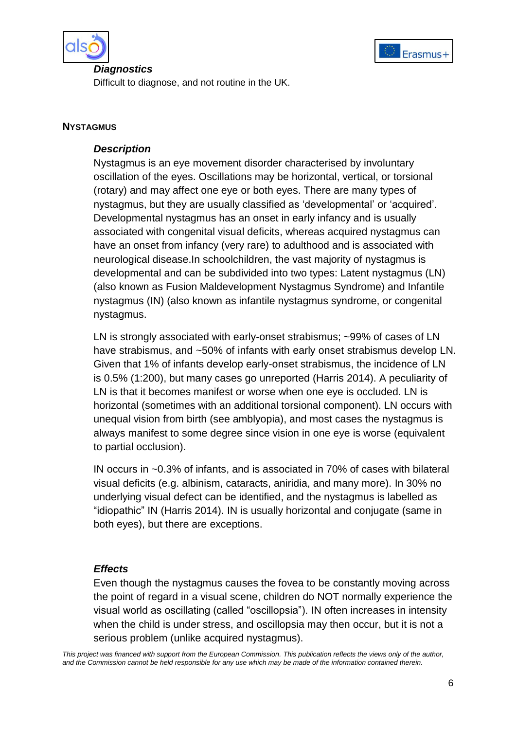



#### *Diagnostics*

Difficult to diagnose, and not routine in the UK.

#### **NYSTAGMUS**

## *Description*

Nystagmus is an eye movement disorder characterised by involuntary oscillation of the eyes. Oscillations may be horizontal, vertical, or torsional (rotary) and may affect one eye or both eyes. There are many types of nystagmus, but they are usually classified as "developmental" or "acquired". Developmental nystagmus has an onset in early infancy and is usually associated with congenital visual deficits, whereas acquired nystagmus can have an onset from infancy (very rare) to adulthood and is associated with neurological disease.In schoolchildren, the vast majority of nystagmus is developmental and can be subdivided into two types: Latent nystagmus (LN) (also known as Fusion Maldevelopment Nystagmus Syndrome) and Infantile nystagmus (IN) (also known as infantile nystagmus syndrome, or congenital nystagmus.

LN is strongly associated with early-onset strabismus; ~99% of cases of LN have strabismus, and ~50% of infants with early onset strabismus develop LN. Given that 1% of infants develop early-onset strabismus, the incidence of LN is 0.5% (1:200), but many cases go unreported (Harris 2014). A peculiarity of LN is that it becomes manifest or worse when one eye is occluded. LN is horizontal (sometimes with an additional torsional component). LN occurs with unequal vision from birth (see amblyopia), and most cases the nystagmus is always manifest to some degree since vision in one eye is worse (equivalent to partial occlusion).

IN occurs in ~0.3% of infants, and is associated in 70% of cases with bilateral visual deficits (e.g. albinism, cataracts, aniridia, and many more). In 30% no underlying visual defect can be identified, and the nystagmus is labelled as "idiopathic" IN (Harris 2014). IN is usually horizontal and conjugate (same in both eyes), but there are exceptions.

## *Effects*

Even though the nystagmus causes the fovea to be constantly moving across the point of regard in a visual scene, children do NOT normally experience the visual world as oscillating (called "oscillopsia"). IN often increases in intensity when the child is under stress, and oscillopsia may then occur, but it is not a serious problem (unlike acquired nystagmus).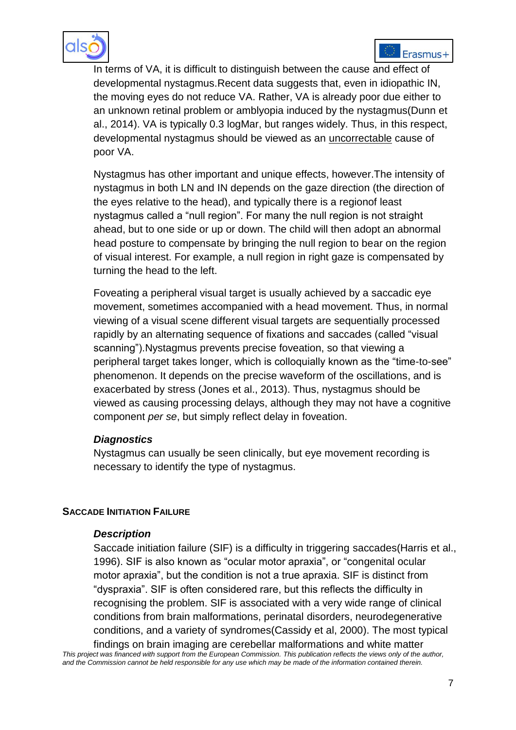



In terms of VA, it is difficult to distinguish between the cause and effect of developmental nystagmus.Recent data suggests that, even in idiopathic IN, the moving eyes do not reduce VA. Rather, VA is already poor due either to an unknown retinal problem or amblyopia induced by the nystagmus(Dunn et al., 2014). VA is typically 0.3 logMar, but ranges widely. Thus, in this respect, developmental nystagmus should be viewed as an uncorrectable cause of poor VA.

Nystagmus has other important and unique effects, however.The intensity of nystagmus in both LN and IN depends on the gaze direction (the direction of the eyes relative to the head), and typically there is a regionof least nystagmus called a "null region". For many the null region is not straight ahead, but to one side or up or down. The child will then adopt an abnormal head posture to compensate by bringing the null region to bear on the region of visual interest. For example, a null region in right gaze is compensated by turning the head to the left.

Foveating a peripheral visual target is usually achieved by a saccadic eye movement, sometimes accompanied with a head movement. Thus, in normal viewing of a visual scene different visual targets are sequentially processed rapidly by an alternating sequence of fixations and saccades (called "visual scanning").Nystagmus prevents precise foveation, so that viewing a peripheral target takes longer, which is colloquially known as the "time-to-see" phenomenon. It depends on the precise waveform of the oscillations, and is exacerbated by stress (Jones et al., 2013). Thus, nystagmus should be viewed as causing processing delays, although they may not have a cognitive component *per se*, but simply reflect delay in foveation.

## *Diagnostics*

Nystagmus can usually be seen clinically, but eye movement recording is necessary to identify the type of nystagmus.

## **SACCADE INITIATION FAILURE**

## *Description*

Saccade initiation failure (SIF) is a difficulty in triggering saccades(Harris et al., 1996). SIF is also known as "ocular motor apraxia", or "congenital ocular motor apraxia", but the condition is not a true apraxia. SIF is distinct from "dyspraxia". SIF is often considered rare, but this reflects the difficulty in recognising the problem. SIF is associated with a very wide range of clinical conditions from brain malformations, perinatal disorders, neurodegenerative conditions, and a variety of syndromes(Cassidy et al, 2000). The most typical

*This project was financed with support from the European Commission. This publication reflects the views only of the author, and the Commission cannot be held responsible for any use which may be made of the information contained therein.* findings on brain imaging are cerebellar malformations and white matter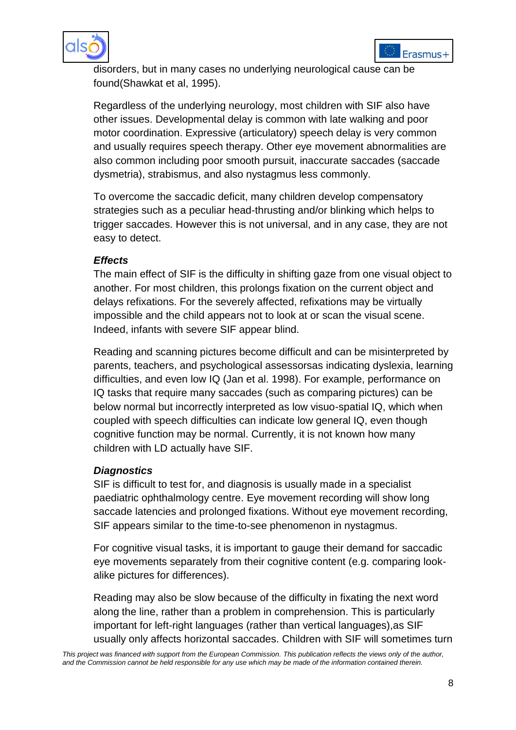



disorders, but in many cases no underlying neurological cause can be found(Shawkat et al, 1995).

Regardless of the underlying neurology, most children with SIF also have other issues. Developmental delay is common with late walking and poor motor coordination. Expressive (articulatory) speech delay is very common and usually requires speech therapy. Other eye movement abnormalities are also common including poor smooth pursuit, inaccurate saccades (saccade dysmetria), strabismus, and also nystagmus less commonly.

To overcome the saccadic deficit, many children develop compensatory strategies such as a peculiar head-thrusting and/or blinking which helps to trigger saccades. However this is not universal, and in any case, they are not easy to detect.

## *Effects*

The main effect of SIF is the difficulty in shifting gaze from one visual object to another. For most children, this prolongs fixation on the current object and delays refixations. For the severely affected, refixations may be virtually impossible and the child appears not to look at or scan the visual scene. Indeed, infants with severe SIF appear blind.

Reading and scanning pictures become difficult and can be misinterpreted by parents, teachers, and psychological assessorsas indicating dyslexia, learning difficulties, and even low IQ (Jan et al. 1998). For example, performance on IQ tasks that require many saccades (such as comparing pictures) can be below normal but incorrectly interpreted as low visuo-spatial IQ, which when coupled with speech difficulties can indicate low general IQ, even though cognitive function may be normal. Currently, it is not known how many children with LD actually have SIF.

## *Diagnostics*

SIF is difficult to test for, and diagnosis is usually made in a specialist paediatric ophthalmology centre. Eye movement recording will show long saccade latencies and prolonged fixations. Without eye movement recording, SIF appears similar to the time-to-see phenomenon in nystagmus.

For cognitive visual tasks, it is important to gauge their demand for saccadic eye movements separately from their cognitive content (e.g. comparing lookalike pictures for differences).

Reading may also be slow because of the difficulty in fixating the next word along the line, rather than a problem in comprehension. This is particularly important for left-right languages (rather than vertical languages),as SIF usually only affects horizontal saccades. Children with SIF will sometimes turn

*This project was financed with support from the European Commission. This publication reflects the views only of the author, and the Commission cannot be held responsible for any use which may be made of the information contained therein.*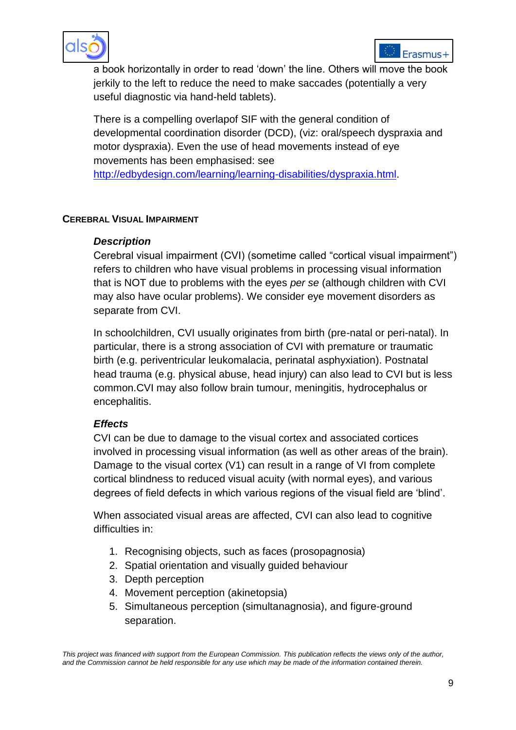



a book horizontally in order to read "down" the line. Others will move the book jerkily to the left to reduce the need to make saccades (potentially a very useful diagnostic via hand-held tablets).

There is a compelling overlapof SIF with the general condition of developmental coordination disorder (DCD), (viz: oral/speech dyspraxia and motor dyspraxia). Even the use of head movements instead of eye movements has been emphasised: see

[http://edbydesign.com/learning/learning-disabilities/dyspraxia.html.](http://edbydesign.com/learning/learning-disabilities/dyspraxia.html)

## **CEREBRAL VISUAL IMPAIRMENT**

## *Description*

Cerebral visual impairment (CVI) (sometime called "cortical visual impairment") refers to children who have visual problems in processing visual information that is NOT due to problems with the eyes *per se* (although children with CVI may also have ocular problems). We consider eye movement disorders as separate from CVI.

In schoolchildren, CVI usually originates from birth (pre-natal or peri-natal). In particular, there is a strong association of CVI with premature or traumatic birth (e.g. periventricular leukomalacia, perinatal asphyxiation). Postnatal head trauma (e.g. physical abuse, head injury) can also lead to CVI but is less common.CVI may also follow brain tumour, meningitis, hydrocephalus or encephalitis.

## *Effects*

CVI can be due to damage to the visual cortex and associated cortices involved in processing visual information (as well as other areas of the brain). Damage to the visual cortex (V1) can result in a range of VI from complete cortical blindness to reduced visual acuity (with normal eyes), and various degrees of field defects in which various regions of the visual field are "blind".

When associated visual areas are affected, CVI can also lead to cognitive difficulties in:

- 1. Recognising objects, such as faces (prosopagnosia)
- 2. Spatial orientation and visually guided behaviour
- 3. Depth perception
- 4. Movement perception (akinetopsia)
- 5. Simultaneous perception (simultanagnosia), and figure-ground separation.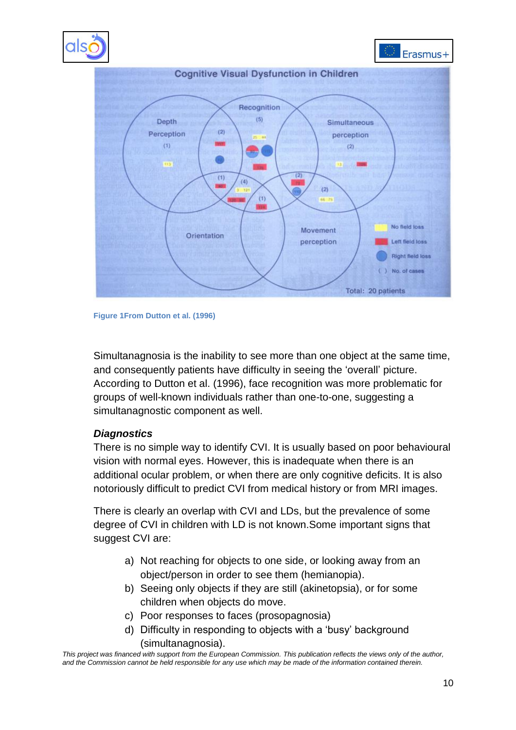



**Figure 1From Dutton et al. (1996)** 

Simultanagnosia is the inability to see more than one object at the same time, and consequently patients have difficulty in seeing the "overall" picture. According to Dutton et al. (1996), face recognition was more problematic for groups of well-known individuals rather than one-to-one, suggesting a simultanagnostic component as well.

#### *Diagnostics*

There is no simple way to identify CVI. It is usually based on poor behavioural vision with normal eyes. However, this is inadequate when there is an additional ocular problem, or when there are only cognitive deficits. It is also notoriously difficult to predict CVI from medical history or from MRI images.

There is clearly an overlap with CVI and LDs, but the prevalence of some degree of CVI in children with LD is not known.Some important signs that suggest CVI are:

- a) Not reaching for objects to one side, or looking away from an object/person in order to see them (hemianopia).
- b) Seeing only objects if they are still (akinetopsia), or for some children when objects do move.
- c) Poor responses to faces (prosopagnosia)
- d) Difficulty in responding to objects with a "busy" background (simultanagnosia).

*This project was financed with support from the European Commission. This publication reflects the views only of the author, and the Commission cannot be held responsible for any use which may be made of the information contained therein.*

**Right field loss** No. of cases

Total: 20 patients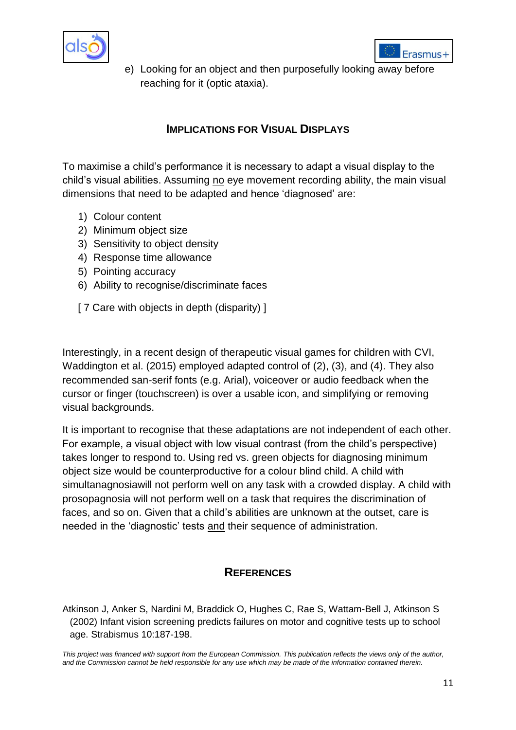



e) Looking for an object and then purposefully looking away before reaching for it (optic ataxia).

## **IMPLICATIONS FOR VISUAL DISPLAYS**

To maximise a child"s performance it is necessary to adapt a visual display to the child's visual abilities. Assuming no eye movement recording ability, the main visual dimensions that need to be adapted and hence "diagnosed" are:

- 1) Colour content
- 2) Minimum object size
- 3) Sensitivity to object density
- 4) Response time allowance
- 5) Pointing accuracy
- 6) Ability to recognise/discriminate faces
- [ 7 Care with objects in depth (disparity) ]

Interestingly, in a recent design of therapeutic visual games for children with CVI, Waddington et al. (2015) employed adapted control of (2), (3), and (4). They also recommended san-serif fonts (e.g. Arial), voiceover or audio feedback when the cursor or finger (touchscreen) is over a usable icon, and simplifying or removing visual backgrounds.

It is important to recognise that these adaptations are not independent of each other. For example, a visual object with low visual contrast (from the child"s perspective) takes longer to respond to. Using red vs. green objects for diagnosing minimum object size would be counterproductive for a colour blind child. A child with simultanagnosiawill not perform well on any task with a crowded display. A child with prosopagnosia will not perform well on a task that requires the discrimination of faces, and so on. Given that a child"s abilities are unknown at the outset, care is needed in the "diagnostic" tests and their sequence of administration.

## **REFERENCES**

Atkinson J, Anker S, Nardini M, Braddick O, Hughes C, Rae S, Wattam-Bell J, Atkinson S (2002) Infant vision screening predicts failures on motor and cognitive tests up to school age. Strabismus 10:187-198.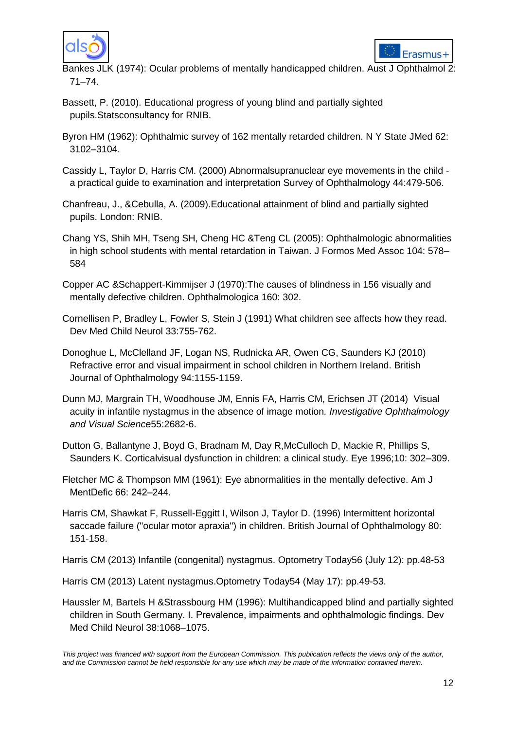



Bankes JLK (1974): Ocular problems of mentally handicapped children. Aust J Ophthalmol 2: 71–74.

- Bassett, P. (2010). Educational progress of young blind and partially sighted pupils.Statsconsultancy for RNIB.
- Byron HM (1962): Ophthalmic survey of 162 mentally retarded children. N Y State JMed 62: 3102–3104.
- Cassidy L, Taylor D, Harris CM. (2000) Abnormalsupranuclear eye movements in the child a practical guide to examination and interpretation Survey of Ophthalmology 44:479-506.
- Chanfreau, J., &Cebulla, A. (2009).Educational attainment of blind and partially sighted pupils. London: RNIB.
- Chang YS, Shih MH, Tseng SH, Cheng HC &Teng CL (2005): Ophthalmologic abnormalities in high school students with mental retardation in Taiwan. J Formos Med Assoc 104: 578– 584
- Copper AC &Schappert-Kimmijser J (1970):The causes of blindness in 156 visually and mentally defective children. Ophthalmologica 160: 302.
- Cornellisen P, Bradley L, Fowler S, Stein J (1991) What children see affects how they read. Dev Med Child Neurol 33:755-762.
- Donoghue L, McClelland JF, Logan NS, Rudnicka AR, Owen CG, Saunders KJ (2010) Refractive error and visual impairment in school children in Northern Ireland. British Journal of Ophthalmology 94:1155-1159.
- Dunn MJ, Margrain TH, Woodhouse JM, Ennis FA, Harris CM, Erichsen JT (2014) Visual acuity in infantile nystagmus in the absence of image motion*. Investigative Ophthalmology and Visual Science*55:2682-6.
- Dutton G, Ballantyne J, Boyd G, Bradnam M, Day R,McCulloch D, Mackie R, Phillips S, Saunders K. Corticalvisual dysfunction in children: a clinical study. Eye 1996;10: 302–309.
- Fletcher MC & Thompson MM (1961): Eye abnormalities in the mentally defective. Am J MentDefic 66: 242–244.
- Harris CM, Shawkat F, Russell-Eggitt I, Wilson J, Taylor D. (1996) Intermittent horizontal saccade failure ("ocular motor apraxia") in children. British Journal of Ophthalmology 80: 151-158.

Harris CM (2013) Infantile (congenital) nystagmus. Optometry Today56 (July 12): pp.48-53

- Harris CM (2013) Latent nystagmus.Optometry Today54 (May 17): pp.49-53.
- Haussler M, Bartels H &Strassbourg HM (1996): Multihandicapped blind and partially sighted children in South Germany. I. Prevalence, impairments and ophthalmologic findings. Dev Med Child Neurol 38:1068–1075.

*This project was financed with support from the European Commission. This publication reflects the views only of the author, and the Commission cannot be held responsible for any use which may be made of the information contained therein.*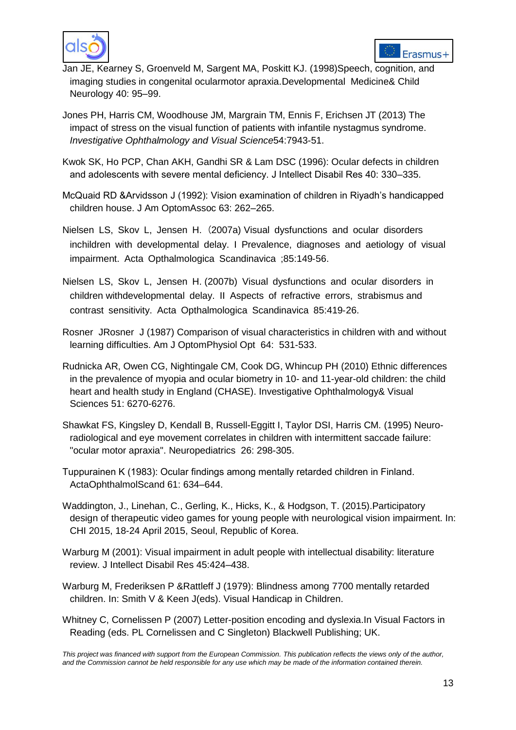



- Jan JE, Kearney S, Groenveld M, Sargent MA, Poskitt KJ. (1998)Speech, cognition, and imaging studies in congenital ocularmotor apraxia.Developmental Medicine& Child Neurology 40: 95–99.
- Jones PH, Harris CM, Woodhouse JM, Margrain TM, Ennis F, Erichsen JT (2013) The impact of stress on the visual function of patients with infantile nystagmus syndrome. *Investigative Ophthalmology and Visual Science*54:7943-51.
- Kwok SK, Ho PCP, Chan AKH, Gandhi SR & Lam DSC (1996): Ocular defects in children and adolescents with severe mental deficiency. J Intellect Disabil Res 40: 330–335.
- McQuaid RD &Arvidsson J (1992): Vision examination of children in Riyadh"s handicapped children house. J Am OptomAssoc 63: 262–265.
- Nielsen LS, Skov L, Jensen H. (2007a) Visual dysfunctions and ocular disorders inchildren with developmental delay. I Prevalence, diagnoses and aetiology of visual impairment. Acta Opthalmologica Scandinavica ;85:149‐56.
- Nielsen LS, Skov L, Jensen H. (2007b) Visual dysfunctions and ocular disorders in children withdevelopmental delay. II Aspects of refractive errors, strabismus and contrast sensitivity. Acta Opthalmologica Scandinavica 85:419‐26.
- Rosner JRosner J (1987) Comparison of visual characteristics in children with and without learning difficulties. Am J OptomPhysiol Opt 64: 531-533.
- Rudnicka AR, Owen CG, Nightingale CM, Cook DG, Whincup PH (2010) Ethnic differences in the prevalence of myopia and ocular biometry in 10- and 11-year-old children: the child heart and health study in England (CHASE). Investigative Ophthalmology& Visual Sciences 51: 6270-6276.
- Shawkat FS, Kingsley D, Kendall B, Russell-Eggitt I, Taylor DSI, Harris CM. (1995) Neuroradiological and eye movement correlates in children with intermittent saccade failure: "ocular motor apraxia". Neuropediatrics 26: 298-305.
- Tuppurainen K (1983): Ocular findings among mentally retarded children in Finland. ActaOphthalmolScand 61: 634–644.
- Waddington, J., Linehan, C., Gerling, K., Hicks, K., & Hodgson, T. (2015).Participatory design of therapeutic video games for young people with neurological vision impairment. In: CHI 2015, 18-24 April 2015, Seoul, Republic of Korea.
- Warburg M (2001): Visual impairment in adult people with intellectual disability: literature review. J Intellect Disabil Res 45:424–438.
- Warburg M, Frederiksen P &Rattleff J (1979): Blindness among 7700 mentally retarded children. In: Smith V & Keen J(eds). Visual Handicap in Children.
- Whitney C, Cornelissen P (2007) Letter-position encoding and dyslexia.In Visual Factors in Reading (eds. PL Cornelissen and C Singleton) Blackwell Publishing; UK.

*This project was financed with support from the European Commission. This publication reflects the views only of the author, and the Commission cannot be held responsible for any use which may be made of the information contained therein.*